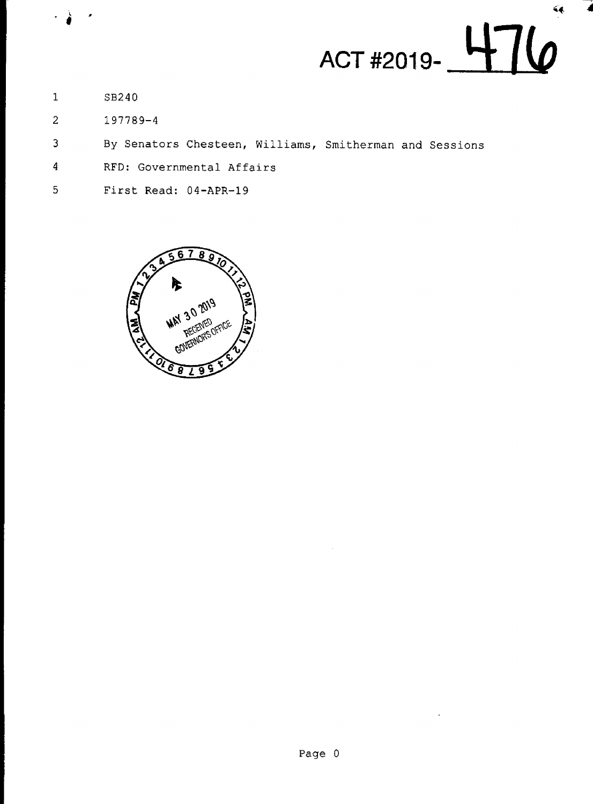

- $\mathbf{1}$ SB240
- $\overline{2}$ 197789-4
- By Senators Chesteen, Williams, Smitherman and Sessions 3
- RFD: Governmental Affairs  $\overline{\mathbf{4}}$
- 5 First Read: 04-APR-19

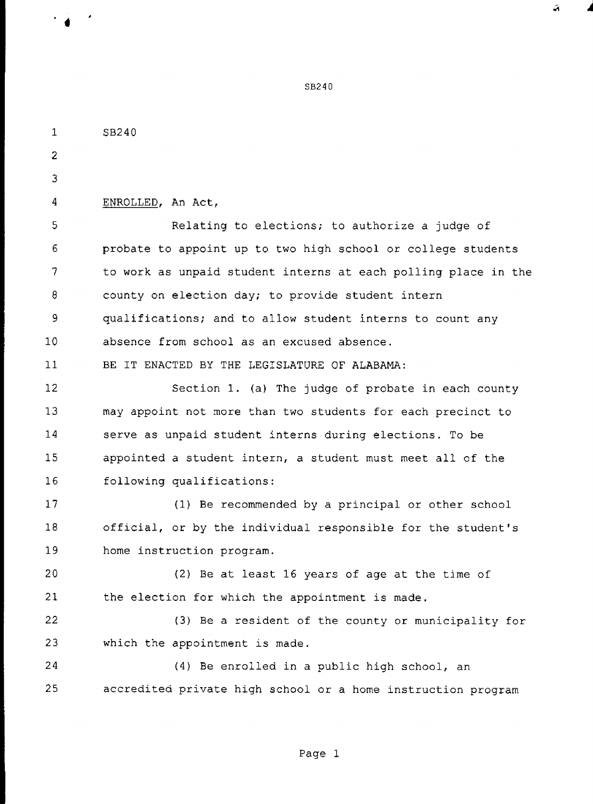SB240 ENROLLED, An Act, Relating to elections; to authorize a judge of probate to appoint up to two high school or college students to work as unpaid student interns at each polling place in the county on election day; to provide student intern qualifications; and to allow student interns to count any absence from school as an excused absence. BE IT ENACTED BY THE LEGISLATURE OF ALABAMA:

12 13 14 15 16 Section 1. (a) The judge of probate in each county may appoint not more than two students for each precinct to serve as unpaid student interns during elections. To be appointed a student intern, a student must meet all of the following qualifications:

17 18 19 (1) Be recommended by a principal or other school official, or by the individual responsible for the student's home instruction program.

20 21 (2) Be at least 16 years of age at the time of the election for which the appointment is made.

22 23 (3) Be a resident of the county or municipality for which the appointment is made.

24 25 (4) Be enrolled in a public high school, an accredited private high school or a home instruction program

in the company of the company of

10

 $\mathbf{1}$ 

 $\overline{2}$ 

 $\overline{3}$ 

 $\overline{4}$ 

5

6

7

8

9

 $11$ 

83240

á.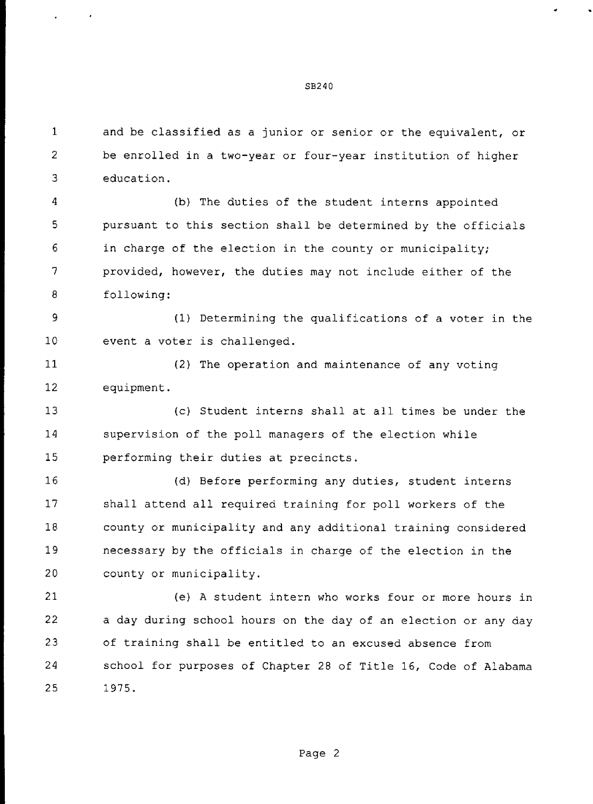$\mathbf{1}$ and be classified as a junior or senior or the equivalent, or  $\overline{2}$ be enrolled in a two-year or four—year institution of higher 3 education.

4 (b) The duties of the student interns appointed 5 pursuant to this section shall be determined by the officials 6 in charge of the election in the county or municipality; 7 provided, however, the duties may not include either of the 8 following:

9 (1) Determining the qualifications of a voter in the 10 event a voter is challenged.

11 12 (2) The operation and maintenance of any voting equipment.

13 14 15 (c) Student interns shall at all times be under the supervision of the poll managers of the election while performing their duties at precincts.

16 17 18 19 20 (d) Before performing any duties, student interns shall attend all required training for poll workers of the county or municipality and any additional training considered necessary by the officials in charge of the election in the county or municipality.

21 22 23 24 25 (e) A student intern who works four or more hours in a day during school hours on the day of an election or any day of training shall be entitled to an excused absence from school for purposes of Chapter 28 of Title 16, Code of Alabama 1975.

the contract of the contract of

 $\sim 10^{11}$  m  $^{-1}$ 

SB240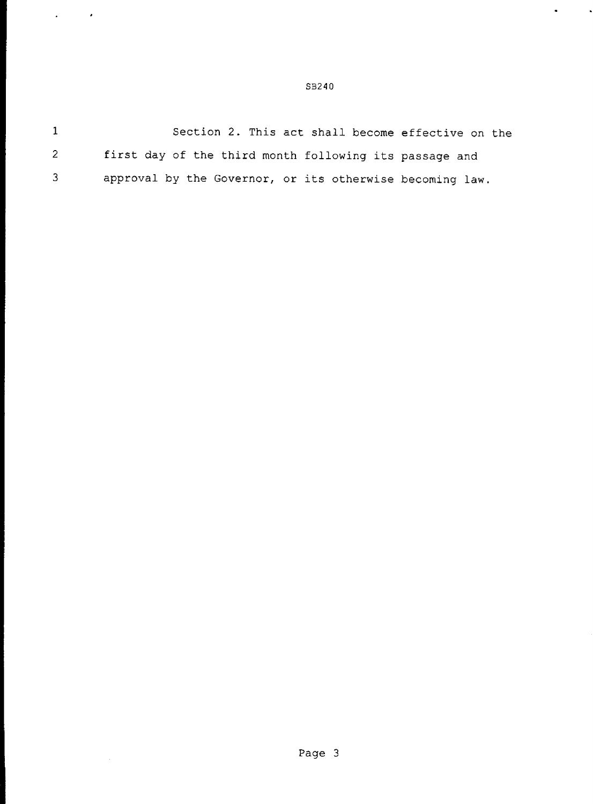$\mathbf{1}$ Section 2. This act shall become effective on the  $\overline{2}$ first day of the third month following its passage and  $\overline{3}$ approval by the Governor, or its otherwise becoming law.

**Property and Service** 

 $\mathbf{z} = \mathbf{z} \times \mathbf{z}$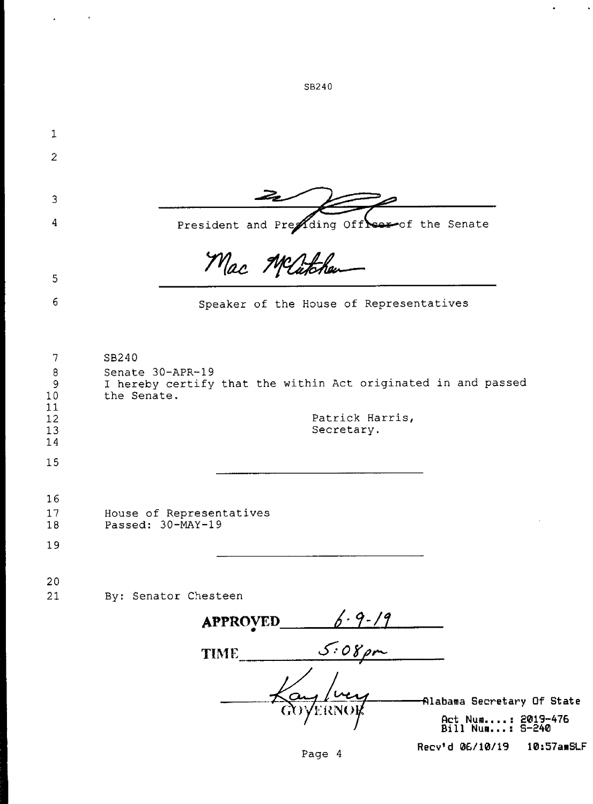| 1                                                          |                                                                                                                                   |
|------------------------------------------------------------|-----------------------------------------------------------------------------------------------------------------------------------|
| $\overline{2}$                                             |                                                                                                                                   |
|                                                            |                                                                                                                                   |
| 3                                                          |                                                                                                                                   |
| 4                                                          | President and Preading Off serof the Senate                                                                                       |
|                                                            | Mac Matchen                                                                                                                       |
| 5                                                          |                                                                                                                                   |
| 6                                                          | Speaker of the House of Representatives                                                                                           |
|                                                            |                                                                                                                                   |
| 7                                                          | SB240                                                                                                                             |
| 8<br>$\mathbf{9}$<br>10<br>11<br>$12 \text{ }$<br>13<br>14 | Senate 30-APR-19<br>I hereby certify that the within Act originated in and passed<br>the Senate.<br>Patrick Harris,<br>Secretary. |
| 15                                                         |                                                                                                                                   |
|                                                            |                                                                                                                                   |
| 16                                                         |                                                                                                                                   |
| 17<br>18                                                   | House of Representatives<br>Passed: 30-MAY-19                                                                                     |
| 19                                                         |                                                                                                                                   |
| 20                                                         |                                                                                                                                   |
| 21                                                         | By: Senator Chesteen                                                                                                              |
|                                                            | <b>APPROVED</b>                                                                                                                   |
|                                                            | $6.9-19$<br>$5.08 \, \text{cm}$<br><b>TIME</b>                                                                                    |
|                                                            | Alabama Secretary Of State                                                                                                        |
|                                                            | Act Num: 2019-476<br>Bill Num: 5-240                                                                                              |

SB240

 $\mathcal{A}^{\text{max}}_{\text{max}}$ 

Recv'd 06/10/19 10:57amSLF

 $\mathcal{A}=\mathcal{A}$  and  $\mathcal{A}$